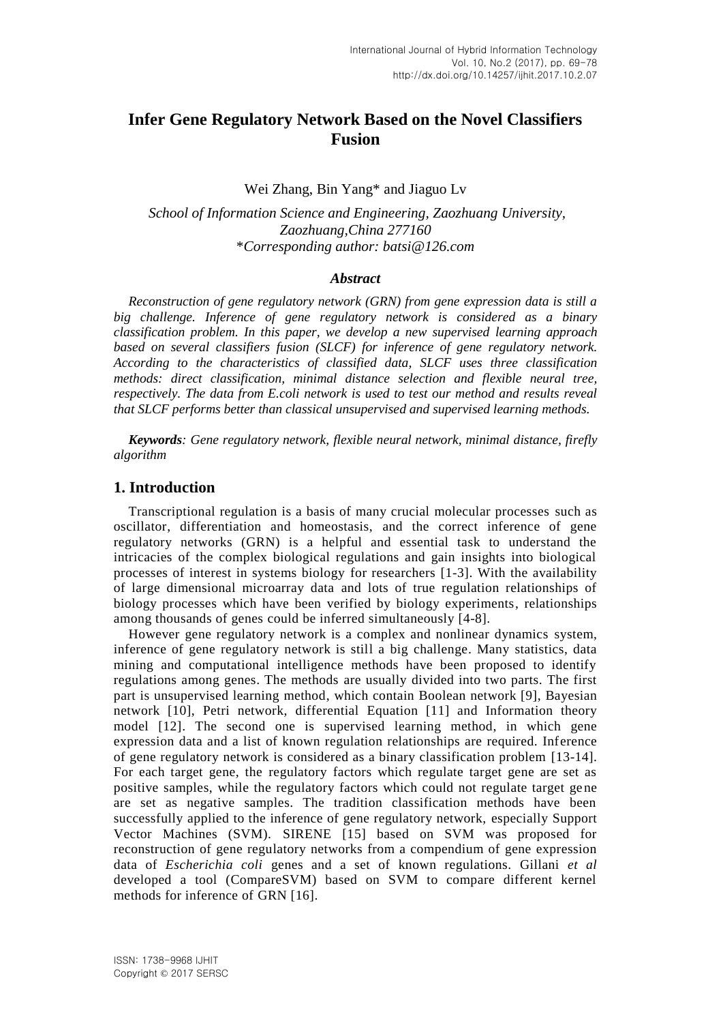# **Infer Gene Regulatory Network Based on the Novel Classifiers Fusion**

Wei Zhang, Bin Yang\* and Jiaguo Lv

*School of Information Science and Engineering, Zaozhuang University, Zaozhuang,China 277160* \**Corresponding author: batsi@126.com*

## *Abstract*

*Reconstruction of gene regulatory network (GRN) from gene expression data is still a big challenge. Inference of gene regulatory network is considered as a binary classification problem. In this paper, we develop a new supervised learning approach based on several classifiers fusion (SLCF) for inference of gene regulatory network. According to the characteristics of classified data, SLCF uses three classification methods: direct classification, minimal distance selection and flexible neural tree, respectively. The data from E.coli network is used to test our method and results reveal that SLCF performs better than classical unsupervised and supervised learning methods.*

*Keywords: Gene regulatory network, flexible neural network, minimal distance, firefly algorithm*

## **1. Introduction**

Transcriptional regulation is a basis of many crucial molecular processes such as oscillator, differentiation and homeostasis, and the correct inference of gene regulatory networks (GRN) is a helpful and essential task to understand the intricacies of the complex biological regulations and gain insights into biological processes of interest in systems biology for researchers [1-3]. With the availability of large dimensional microarray data and lots of true regulation relationships of biology processes which have been verified by biology experiments, relationships among thousands of genes could be inferred simultaneously [4-8].

However gene regulatory network is a complex and nonlinear dynamics system, inference of gene regulatory network is still a big challenge. Many statistics, data mining and computational intelligence methods have been proposed to identify regulations among genes. The methods are usually divided into two parts. The first part is unsupervised learning method, which contain Boolean network [9], Bayesian network [10], Petri network, differential Equation [11] and Information theory model [12]. The second one is supervised learning method, in which gene expression data and a list of known regulation relationships are required. Inference of gene regulatory network is considered as a binary classification problem [13-14]. For each target gene, the regulatory factors which regulate target gene are set as positive samples, while the regulatory factors which could not regulate target gene are set as negative samples. The tradition classification methods have been successfully applied to the inference of gene regulatory network, especially Support Vector Machines (SVM). SIRENE [15] based on SVM was proposed for reconstruction of gene regulatory networks from a compendium of gene expression data of *Escherichia coli* genes and a set of known regulations. Gillani *et al* developed a tool (CompareSVM) based on SVM to compare different kernel methods for inference of GRN [16].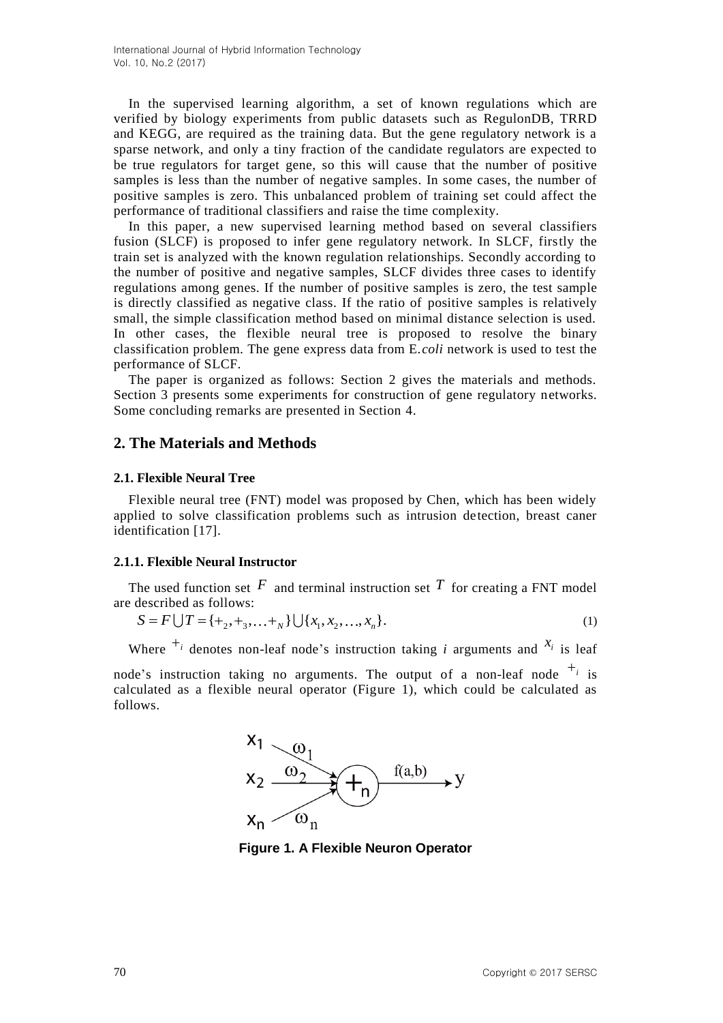In the supervised learning algorithm, a set of known regulations which are verified by biology experiments from public datasets such as RegulonDB, TRRD and KEGG, are required as the training data. But the gene regulatory network is a sparse network, and only a tiny fraction of the candidate regulators are expected to be true regulators for target gene, so this will cause that the number of positive samples is less than the number of negative samples. In some cases, the number of positive samples is zero. This unbalanced problem of training set could affect the performance of traditional classifiers and raise the time complexity.

In this paper, a new supervised learning method based on several classifiers fusion (SLCF) is proposed to infer gene regulatory network. In SLCF, firstly the train set is analyzed with the known regulation relationships. Secondly according to the number of positive and negative samples, SLCF divides three cases to identify regulations among genes. If the number of positive samples is zero, the test sample is directly classified as negative class. If the ratio of positive samples is relatively small, the simple classification method based on minimal distance selection is used. In other cases, the flexible neural tree is proposed to resolve the binary classification problem. The gene express data from E.*coli* network is used to test the performance of SLCF.

The paper is organized as follows: Section 2 gives the materials and methods. Section 3 presents some experiments for construction of gene regulatory networks. Some concluding remarks are presented in Section 4.

## **2. The Materials and Methods**

## **2.1. Flexible Neural Tree**

Flexible neural tree (FNT) model was proposed by Chen, which has been widely applied to solve classification problems such as intrusion detection, breast caner identification [17].

#### **2.1.1. Flexible Neural Instructor**

The used function set  $F$  and terminal instruction set  $T$  for creating a FNT model<br>  $S = F \bigcup T = \{\pm_2, \pm_3, ..., \pm_N\} \bigcup \{x_1, x_2, ..., x_n\}.$  (1) are described as follows:

$$
S = F \cup T = \{+_2, +_3, \dots +_N \} \cup \{x_1, x_2, \dots, x_n\}.
$$
 (1)

Where  $\overline{f}$  denotes non-leaf node's instruction taking *i* arguments and  $\overline{x}$  is leaf

node's instruction taking no arguments. The output of a non-leaf node  $+_{i}$  is calculated as a flexible neural operator (Figure 1), which could be calculated as follows.



**Figure 1. A Flexible Neuron Operator**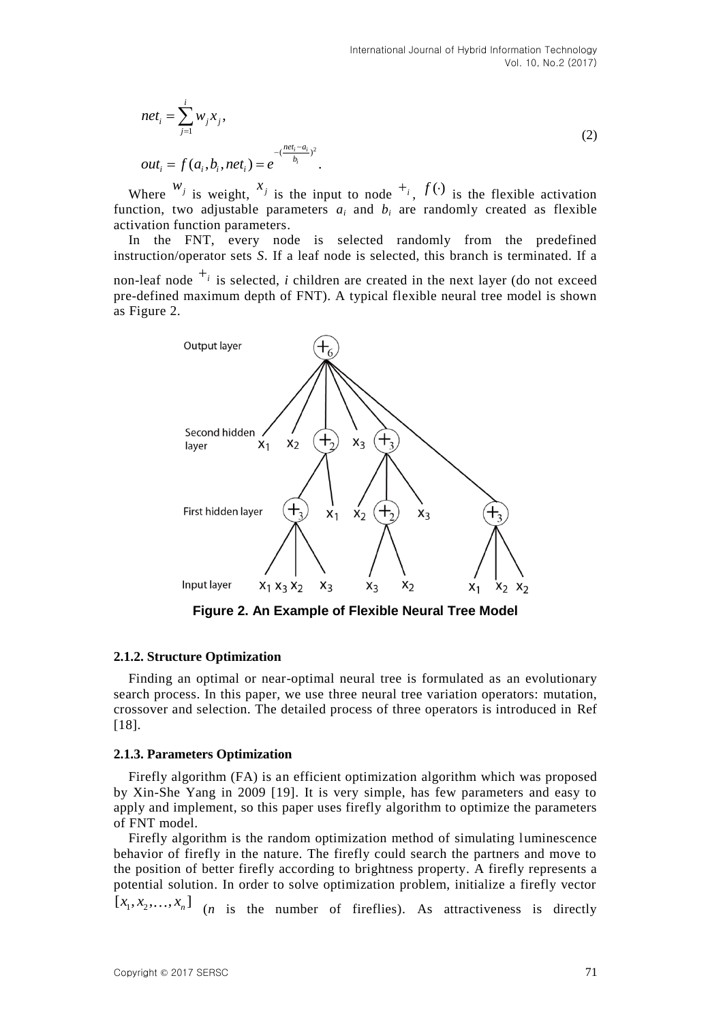$$
net_{i} = \sum_{j=1}^{i} w_{j} x_{j},
$$
  
\n
$$
out_{i} = f(a_{i}, b_{i}, net_{i}) = e^{-\left(\frac{net_{i} - a_{i}}{b_{i}}\right)^{2}}.
$$
\n(2)

Where  $w_j$  is weight,  $x_j$  is the input to node  $x_j$ ,  $f(x_j)$  is the flexible activation function, two adjustable parameters  $a_i$  and  $b_i$  are randomly created as flexible activation function parameters.

In the FNT, every node is selected randomly from the predefined instruction/operator sets *S*. If a leaf node is selected, this branch is terminated. If a

non-leaf node  $\overline{t_i}$  is selected, *i* children are created in the next layer (do not exceed pre-defined maximum depth of FNT). A typical flexible neural tree model is shown as Figure 2.



**Figure 2. An Example of Flexible Neural Tree Model**

## **2.1.2. Structure Optimization**

Finding an optimal or near-optimal neural tree is formulated as an evolutionary search process. In this paper, we use three neural tree variation operators: mutation, crossover and selection. The detailed process of three operators is introduced in Ref [18].

### **2.1.3. Parameters Optimization**

Firefly algorithm (FA) is an efficient optimization algorithm which was proposed by Xin-She Yang in 2009 [19]. It is very simple, has few parameters and easy to apply and implement, so this paper uses firefly algorithm to optimize the parameters of FNT model.

Firefly algorithm is the random optimization method of simulating luminescence behavior of firefly in the nature. The firefly could search the partners and move to the position of better firefly according to brightness property. A firefly represents a potential solution. In order to solve optimization problem, initialize a firefly vector  $[x_1, x_2,...,x_n]$  (*n* is the number of fireflies). As attractiveness is directly

 $Copyright © 2017 SERSC$  71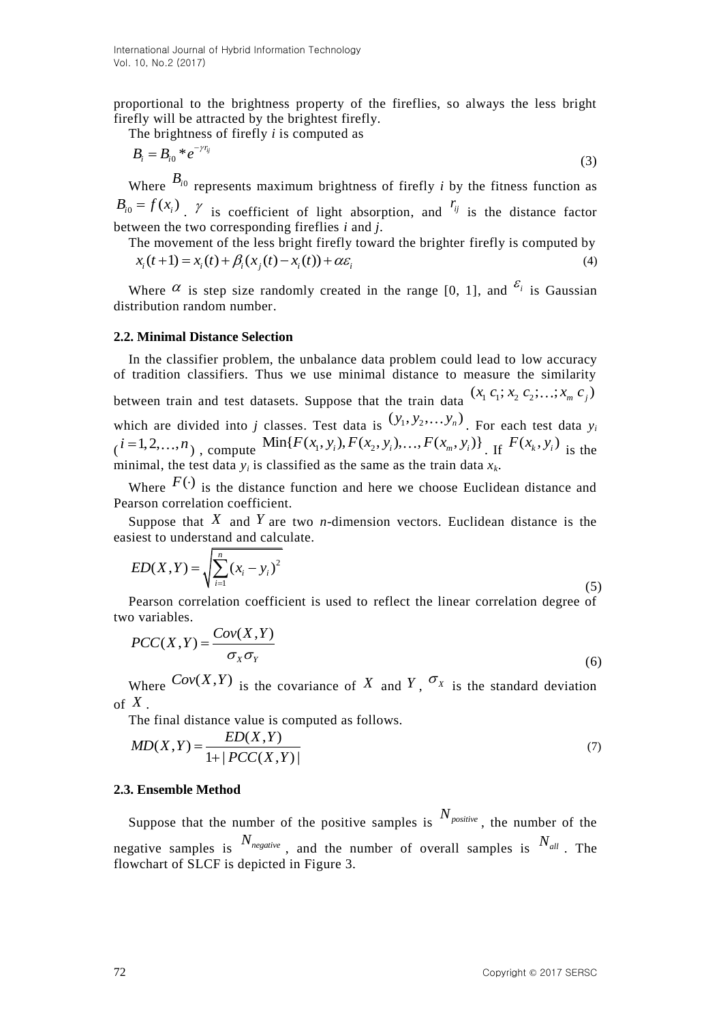proportional to the brightness property of the fireflies, so always the less bright firefly will be attracted by the brightest firefly.

The brightness of firefly *i* is computed as

$$
B_i = B_{i0} * e^{-\gamma r_{ij}} \tag{3}
$$

Where  $B_{i0}$  represents maximum brightness of firefly *i* by the fitness function as  $B_{i0} = f(x_i)$ ,  $\gamma$  is coefficient of light absorption, and  $r_{ij}$  is the distance factor

between the two corresponding fireflies *i* and *j*. The movement of the less bright firefly toward the brighter firefly is computed by  $x_i(t+1) = x_i(t) + \beta_i(x_j(t) - x_i(t)) + \alpha \varepsilon_i$  (4)

$$
x_i(t+1) = x_i(t) + \beta_i(x_j(t) - x_i(t)) + \alpha \varepsilon_i
$$
\n<sup>(4)</sup>

Where  $\alpha$  is step size randomly created in the range [0, 1], and  $\varepsilon_i$  is Gaussian distribution random number.

#### **2.2. Minimal Distance Selection**

In the classifier problem, the unbalance data problem could lead to low accuracy of tradition classifiers. Thus we use minimal distance to measure the similarity between train and test datasets. Suppose that the train data  $(x_1 c_1; x_2 c_2; ...; x_m c_j)$ which are divided into *j* classes. Test data is  $(y_1, y_2, \ldots, y_n)$ . For each test data  $y_i$ which are divided into *j* classes. Test data is  $(y_1, y_2, \ldots, y_n)$ . For each test data  $y_i$   $(i=1,2,\ldots,n)$ , compute  $\text{Min}\{F(x_1, y_i), F(x_2, y_i), \ldots, F(x_m, y_i)\}$ . If  $F(x_k, y_i)$  is the minimal, the test data  $y_i$  is classified as the same as the train data  $x_k$ .

Where  $F(\cdot)$  is the distance function and here we choose Euclidean distance and Pearson correlation coefficient.

Suppose that  $X$  and  $Y$  are two *n*-dimension vectors. Euclidean distance is the easiest to understand and calculate.

$$
ED(X,Y) = \sqrt{\sum_{i=1}^{n} (x_i - y_i)^2}
$$
\n(5)

Pearson correlation coefficient is used to reflect the linear correlation degree of two variables.

$$
PCC(X,Y) = \frac{Cov(X,Y)}{\sigma_X \sigma_Y}
$$
 (6)

Where  $Cov(X,Y)$  is the covariance of X and Y,  $\sigma_X$  is the standard deviation of *X* .

The final distance value is computed as follows.  
\n
$$
MD(X,Y) = \frac{ED(X,Y)}{1+|PCC(X,Y)|}
$$
\n(7)

#### **2.3. Ensemble Method**

Suppose that the number of the positive samples is  $N_{positive}$ , the number of the negative samples is  $N_{\text{negative}}$ , and the number of overall samples is  $N_{\text{all}}$ . The flowchart of SLCF is depicted in Figure 3.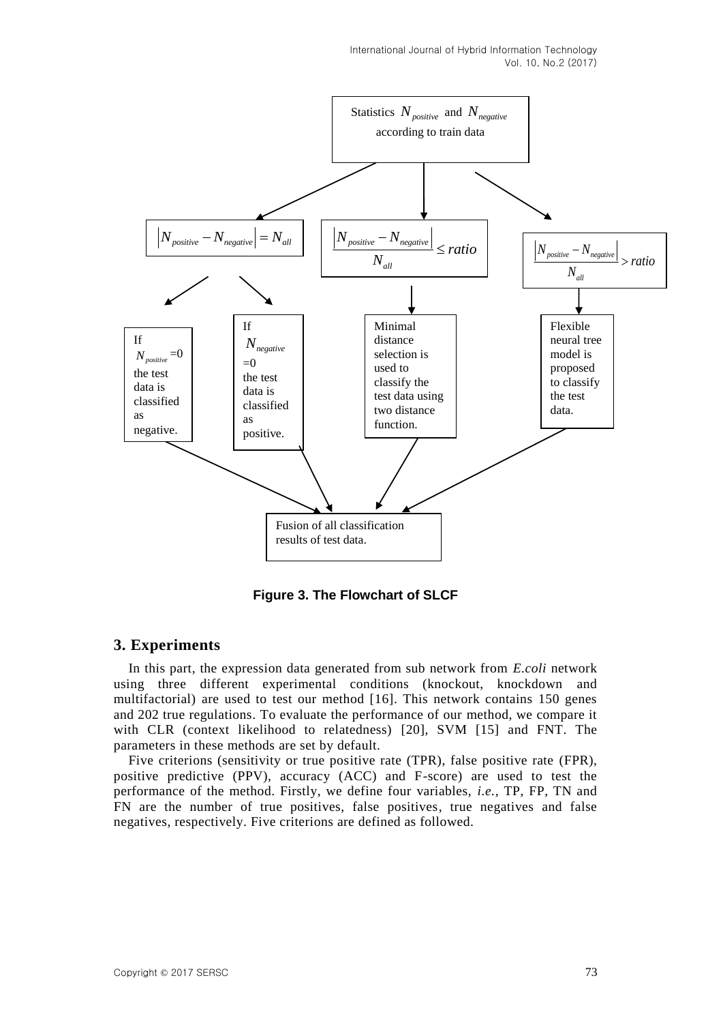

**Figure 3. The Flowchart of SLCF**

# **3. Experiments**

In this part, the expression data generated from sub network from *E.coli* network using three different experimental conditions (knockout, knockdown and multifactorial) are used to test our method [16]. This network contains 150 genes and 202 true regulations. To evaluate the performance of our method, we compare it with CLR (context likelihood to relatedness) [20], SVM [15] and FNT. The parameters in these methods are set by default.

Five criterions (sensitivity or true positive rate (TPR), false positive rate (FPR), positive predictive (PPV), accuracy (ACC) and F-score) are used to test the performance of the method. Firstly, we define four variables, *i.e.,* TP, FP, TN and FN are the number of true positives, false positives, true negatives and false negatives, respectively. Five criterions are defined as followed.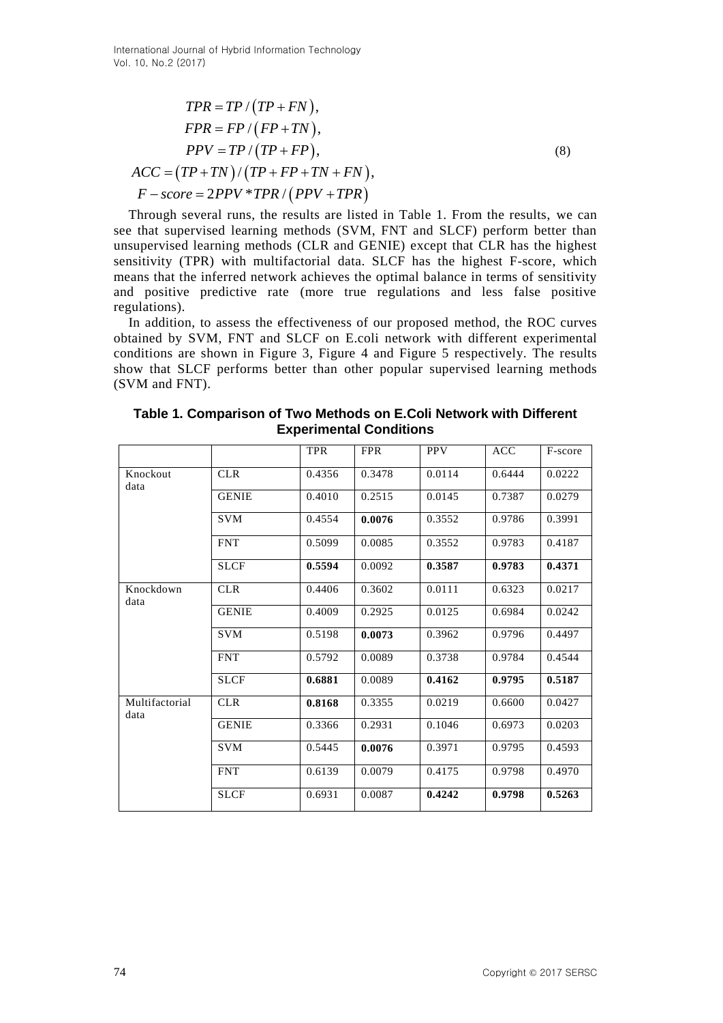International Journal of Hybrid Information Technology Vol. 10, No.2 (2017)

$$
TPR = TP / (TP + FN),
$$
  
\n
$$
FPR = FP / (FP + TN),
$$
  
\n
$$
PPV = TP / (TP + FP),
$$
  
\n
$$
ACC = (TP + TN) / (TP + FP + TN + FN),
$$
  
\n
$$
F - score = 2PPV * TPR / (PPV + TPR)
$$
 (8)

Through several runs, the results are listed in Table 1. From the results, we can see that supervised learning methods (SVM, FNT and SLCF) perform better than unsupervised learning methods (CLR and GENIE) except that CLR has the highest sensitivity (TPR) with multifactorial data. SLCF has the highest F-score, which means that the inferred network achieves the optimal balance in terms of sensitivity and positive predictive rate (more true regulations and less false positive regulations).

In addition, to assess the effectiveness of our proposed method, the ROC curves obtained by SVM, FNT and SLCF on E.coli network with different experimental conditions are shown in Figure 3, Figure 4 and Figure 5 respectively. The results show that SLCF performs better than other popular supervised learning methods (SVM and FNT).

|                        |              | <b>TPR</b> | <b>FPR</b> | <b>PPV</b> | <b>ACC</b> | F-score |
|------------------------|--------------|------------|------------|------------|------------|---------|
| Knockout<br>data       | <b>CLR</b>   | 0.4356     | 0.3478     | 0.0114     | 0.6444     | 0.0222  |
|                        | <b>GENIE</b> | 0.4010     | 0.2515     | 0.0145     | 0.7387     | 0.0279  |
|                        | <b>SVM</b>   | 0.4554     | 0.0076     | 0.3552     | 0.9786     | 0.3991  |
|                        | <b>FNT</b>   | 0.5099     | 0.0085     | 0.3552     | 0.9783     | 0.4187  |
|                        | <b>SLCF</b>  | 0.5594     | 0.0092     | 0.3587     | 0.9783     | 0.4371  |
| Knockdown<br>data      | <b>CLR</b>   | 0.4406     | 0.3602     | 0.0111     | 0.6323     | 0.0217  |
|                        | <b>GENIE</b> | 0.4009     | 0.2925     | 0.0125     | 0.6984     | 0.0242  |
|                        | <b>SVM</b>   | 0.5198     | 0.0073     | 0.3962     | 0.9796     | 0.4497  |
|                        | <b>FNT</b>   | 0.5792     | 0.0089     | 0.3738     | 0.9784     | 0.4544  |
|                        | <b>SLCF</b>  | 0.6881     | 0.0089     | 0.4162     | 0.9795     | 0.5187  |
| Multifactorial<br>data | <b>CLR</b>   | 0.8168     | 0.3355     | 0.0219     | 0.6600     | 0.0427  |
|                        | <b>GENIE</b> | 0.3366     | 0.2931     | 0.1046     | 0.6973     | 0.0203  |
|                        | <b>SVM</b>   | 0.5445     | 0.0076     | 0.3971     | 0.9795     | 0.4593  |
|                        | <b>FNT</b>   | 0.6139     | 0.0079     | 0.4175     | 0.9798     | 0.4970  |
|                        | <b>SLCF</b>  | 0.6931     | 0.0087     | 0.4242     | 0.9798     | 0.5263  |

**Table 1. Comparison of Two Methods on E.Coli Network with Different Experimental Conditions**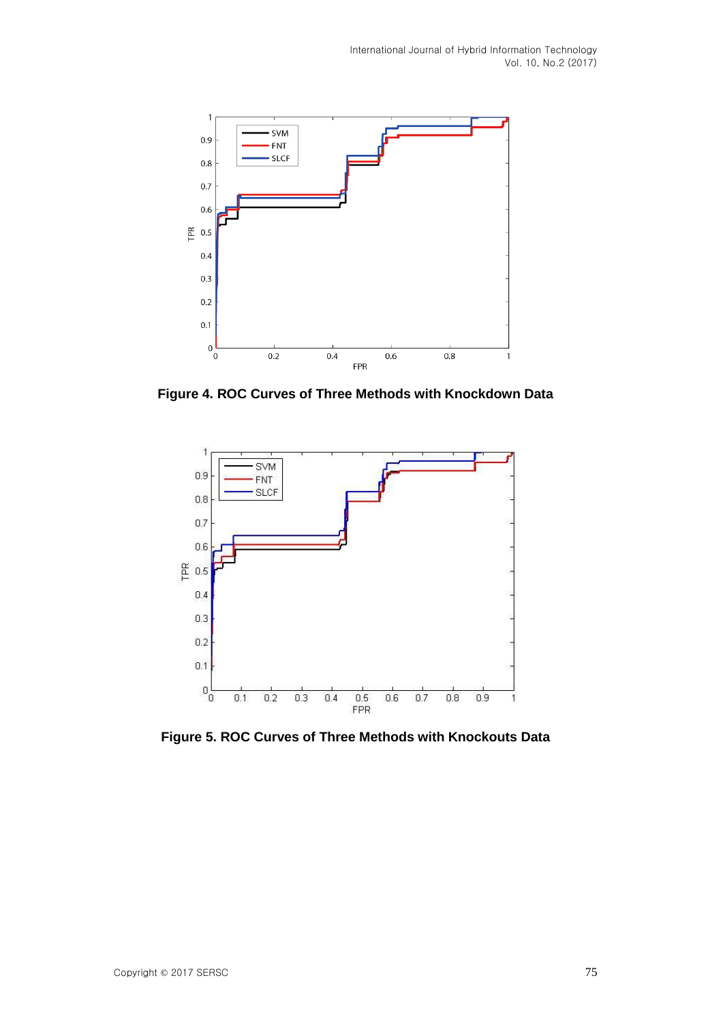

**Figure 4. ROC Curves of Three Methods with Knockdown Data**



**Figure 5. ROC Curves of Three Methods with Knockouts Data**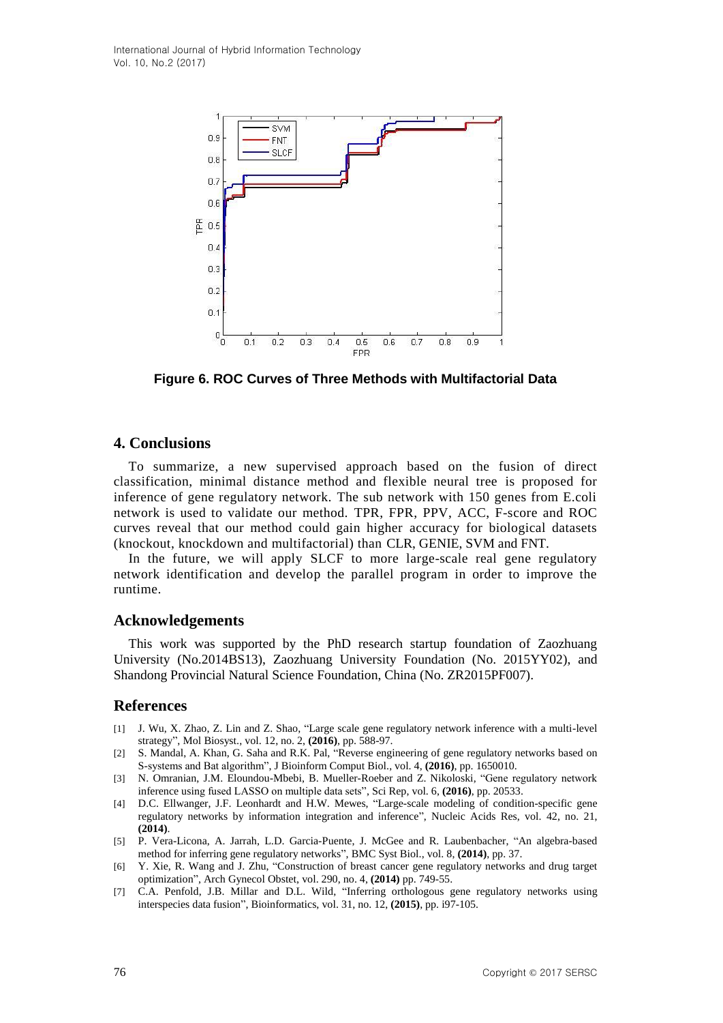

**Figure 6. ROC Curves of Three Methods with Multifactorial Data**

# **4. Conclusions**

To summarize, a new supervised approach based on the fusion of direct classification, minimal distance method and flexible neural tree is proposed for inference of gene regulatory network. The sub network with 150 genes from E.coli network is used to validate our method. TPR, FPR, PPV, ACC, F-score and ROC curves reveal that our method could gain higher accuracy for biological datasets (knockout, knockdown and multifactorial) than CLR, GENIE, SVM and FNT.

In the future, we will apply SLCF to more large-scale real gene regulatory network identification and develop the parallel program in order to improve the runtime.

# **Acknowledgements**

This work was supported by the PhD research startup foundation of Zaozhuang University (No.2014BS13), Zaozhuang University Foundation (No. 2015YY02), and Shandong Provincial Natural Science Foundation, China (No. ZR2015PF007).

# **References**

- [1] J. Wu, X. Zhao, Z. Lin and Z. Shao, "Large scale gene regulatory network inference with a multi-level strategy", Mol Biosyst., vol. 12, no. 2, **(2016)**, pp. 588-97.
- [2] S. Mandal, A. Khan, G. Saha and R.K. Pal, "Reverse engineering of gene regulatory networks based on S-systems and Bat algorithm", J Bioinform Comput Biol., vol. 4, **(2016)**, pp. 1650010.
- [3] N. Omranian, J.M. Eloundou-Mbebi, B. Mueller-Roeber and Z. Nikoloski, "Gene regulatory network inference using fused LASSO on multiple data sets", Sci Rep, vol. 6, **(2016)**, pp. 20533.
- [4] D.C. Ellwanger, J.F. Leonhardt and H.W. Mewes, "Large-scale modeling of condition-specific gene regulatory networks by information integration and inference", Nucleic Acids Res, vol. 42, no. 21, **(2014)**.
- [5] P. Vera-Licona, A. Jarrah, L.D. Garcia-Puente, J. McGee and R. Laubenbacher, "An algebra-based method for inferring gene regulatory networks", BMC Syst Biol., vol. 8, **(2014)**, pp. 37.
- [6] Y. Xie, R. Wang and J. Zhu, "Construction of breast cancer gene regulatory networks and drug target optimization", Arch Gynecol Obstet, vol. 290, no. 4, **(2014)** pp. 749-55.
- [7] C.A. Penfold, J.B. Millar and D.L. Wild, "Inferring orthologous gene regulatory networks using interspecies data fusion", Bioinformatics, vol. 31, no. 12, **(2015)**, pp. i97-105.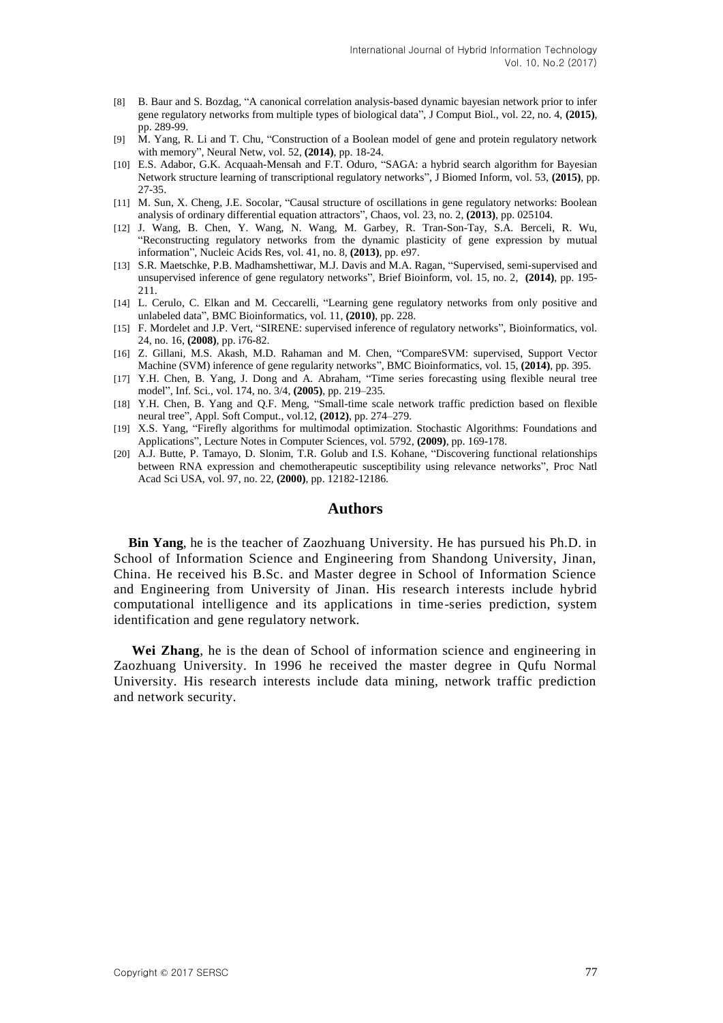- [8] B. Baur and S. Bozdag, "A canonical correlation analysis-based dynamic bayesian network prior to infer gene regulatory networks from multiple types of biological data", J Comput Biol., vol. 22, no. 4, **(2015)**, pp. 289-99.
- [9] M. Yang, R. Li and T. Chu, "Construction of a Boolean model of gene and protein regulatory network with memory", Neural Netw, vol. 52, **(2014)**, pp. 18-24.
- [10] E.S. Adabor, G.K. Acquaah-Mensah and F.T. Oduro, "SAGA: a hybrid search algorithm for Bayesian Network structure learning of transcriptional regulatory networks", J Biomed Inform, vol. 53, **(2015)**, pp. 27-35.
- [11] M. Sun, X. Cheng, J.E. Socolar, "Causal structure of oscillations in gene regulatory networks: Boolean analysis of ordinary differential equation attractors", Chaos, vol. 23, no. 2, **(2013)**, pp. 025104.
- [12] J. Wang, B. Chen, Y. Wang, N. Wang, M. Garbey, R. Tran-Son-Tay, S.A. Berceli, R. Wu, "Reconstructing regulatory networks from the dynamic plasticity of gene expression by mutual information", Nucleic Acids Res, vol. 41, no. 8, **(2013)**, pp. e97.
- [13] S.R. Maetschke, P.B. Madhamshettiwar, M.J. Davis and M.A. Ragan, "Supervised, semi-supervised and unsupervised inference of gene regulatory networks", Brief Bioinform, vol. 15, no. 2, **(2014)**, pp. 195- 211.
- [14] L. Cerulo, C. Elkan and M. Ceccarelli, "Learning gene regulatory networks from only positive and unlabeled data", BMC Bioinformatics, vol. 11, **(2010)**, pp. 228.
- [15] F. Mordelet and J.P. Vert, "SIRENE: supervised inference of regulatory networks", Bioinformatics, vol. 24, no. 16, **(2008)**, pp. i76-82.
- [16] Z. Gillani, M.S. Akash, M.D. Rahaman and M. Chen, "CompareSVM: supervised, Support Vector Machine (SVM) inference of gene regularity networks", BMC Bioinformatics, vol. 15, **(2014)**, pp. 395.
- [17] Y.H. Chen, B. Yang, J. Dong and A. Abraham, "Time series forecasting using flexible neural tree model", Inf. Sci., vol. 174, no. 3/4, **(2005)**, pp. 219–235.
- [18] Y.H. Chen, B. Yang and Q.F. Meng, "Small-time scale network traffic prediction based on flexible neural tree", Appl. Soft Comput., vol.12, **(2012)**, pp. 274–279.
- [19] X.S. Yang, "Firefly algorithms for multimodal optimization. Stochastic Algorithms: Foundations and Applications", Lecture Notes in Computer Sciences, vol. 5792, **(2009)**, pp. 169-178.
- [20] A.J. Butte, P. Tamayo, D. Slonim, T.R. Golub and I.S. Kohane, "Discovering functional relationships between RNA expression and chemotherapeutic susceptibility using relevance networks", Proc Natl Acad Sci USA, vol. 97, no. 22, **(2000)**, pp. 12182-12186.

#### **Authors**

**Bin Yang**, he is the teacher of Zaozhuang University. He has pursued his Ph.D. in School of Information Science and Engineering from Shandong University, Jinan, China. He received his B.Sc. and Master degree in School of Information Science and Engineering from University of Jinan. His research interests include hybrid computational intelligence and its applications in time-series prediction, system identification and gene regulatory network.

**Wei Zhang**, he is the dean of School of information science and engineering in Zaozhuang University. In 1996 he received the master degree in Qufu Normal University. His research interests include data mining, network traffic prediction and network security.